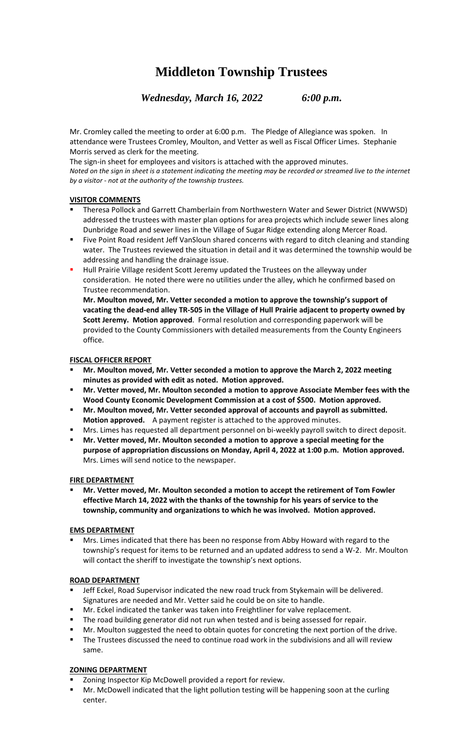# **Middleton Township Trustees**

*Wednesday, March 16, 2022 6:00 p.m.*

Mr. Cromley called the meeting to order at 6:00 p.m. The Pledge of Allegiance was spoken. In attendance were Trustees Cromley, Moulton, and Vetter as well as Fiscal Officer Limes. Stephanie Morris served as clerk for the meeting.

The sign-in sheet for employees and visitors is attached with the approved minutes. *Noted on the sign in sheet is a statement indicating the meeting may be recorded or streamed live to the internet by a visitor - not at the authority of the township trustees.*

## **VISITOR COMMENTS**

- Theresa Pollock and Garrett Chamberlain from Northwestern Water and Sewer District (NWWSD) addressed the trustees with master plan options for area projects which include sewer lines along Dunbridge Road and sewer lines in the Village of Sugar Ridge extending along Mercer Road.
- Five Point Road resident Jeff VanSloun shared concerns with regard to ditch cleaning and standing water. The Trustees reviewed the situation in detail and it was determined the township would be addressing and handling the drainage issue.
- **■** Hull Prairie Village resident Scott Jeremy updated the Trustees on the alleyway under consideration. He noted there were no utilities under the alley, which he confirmed based on Trustee recommendation.

**Mr. Moulton moved, Mr. Vetter seconded a motion to approve the township's support of vacating the dead-end alley TR-505 in the Village of Hull Prairie adjacent to property owned by Scott Jeremy. Motion approved**. Formal resolution and corresponding paperwork will be provided to the County Commissioners with detailed measurements from the County Engineers office.

## **FISCAL OFFICER REPORT**

- **Mr. Moulton moved, Mr. Vetter seconded a motion to approve the March 2, 2022 meeting minutes as provided with edit as noted. Motion approved.**
- **Mr. Vetter moved, Mr. Moulton seconded a motion to approve Associate Member fees with the Wood County Economic Development Commission at a cost of \$500. Motion approved.**
- **Mr. Moulton moved, Mr. Vetter seconded approval of accounts and payroll as submitted. Motion approved.** A payment register is attached to the approved minutes.
- Mrs. Limes has requested all department personnel on bi-weekly payroll switch to direct deposit.
- Mr. Vetter moved, Mr. Moulton seconded a motion to approve a special meeting for the **purpose of appropriation discussions on Monday, April 4, 2022 at 1:00 p.m. Motion approved.** Mrs. Limes will send notice to the newspaper.

### **FIRE DEPARTMENT**

▪ **Mr. Vetter moved, Mr. Moulton seconded a motion to accept the retirement of Tom Fowler effective March 14, 2022 with the thanks of the township for his years of service to the township, community and organizations to which he was involved. Motion approved.** 

## **EMS DEPARTMENT**

Mrs. Limes indicated that there has been no response from Abby Howard with regard to the township's request for items to be returned and an updated address to send a W-2. Mr. Moulton will contact the sheriff to investigate the township's next options.

## **ROAD DEPARTMENT**

- Jeff Eckel, Road Supervisor indicated the new road truck from Stykemain will be delivered. Signatures are needed and Mr. Vetter said he could be on site to handle.
- **■** Mr. Eckel indicated the tanker was taken into Freightliner for valve replacement.
- The road building generator did not run when tested and is being assessed for repair.
- Mr. Moulton suggested the need to obtain quotes for concreting the next portion of the drive.
- The Trustees discussed the need to continue road work in the subdivisions and all will review same.

## **ZONING DEPARTMENT**

- Zoning Inspector Kip McDowell provided a report for review.
- Mr. McDowell indicated that the light pollution testing will be happening soon at the curling center.